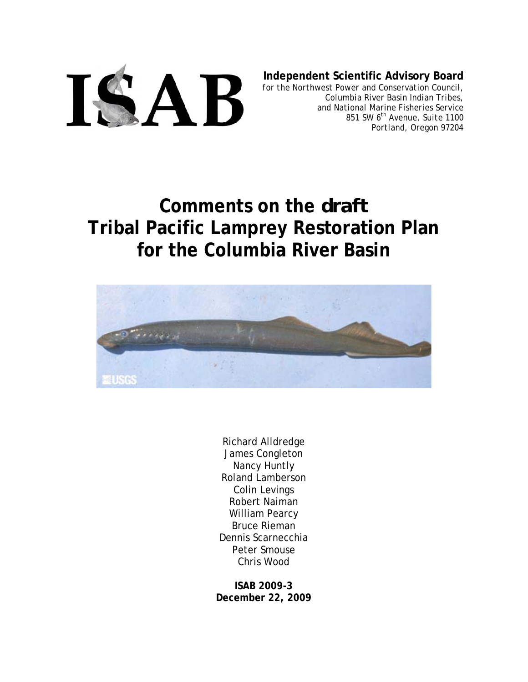

**Independent Scientific Advisory Board**

*for the Northwest Power and Conservation Council, Columbia River Basin Indian Tribes, and National Marine Fisheries Service 851 SW 6th Avenue, Suite 1100 Portland, Oregon 97204*

# **Comments on the** *draft*  **Tribal Pacific Lamprey Restoration Plan for the Columbia River Basin**



Richard Alldredge James Congleton Nancy Huntly Roland Lamberson Colin Levings Robert Naiman William Pearcy Bruce Rieman Dennis Scarnecchia Peter Smouse Chris Wood

**ISAB 2009-3 December 22, 2009**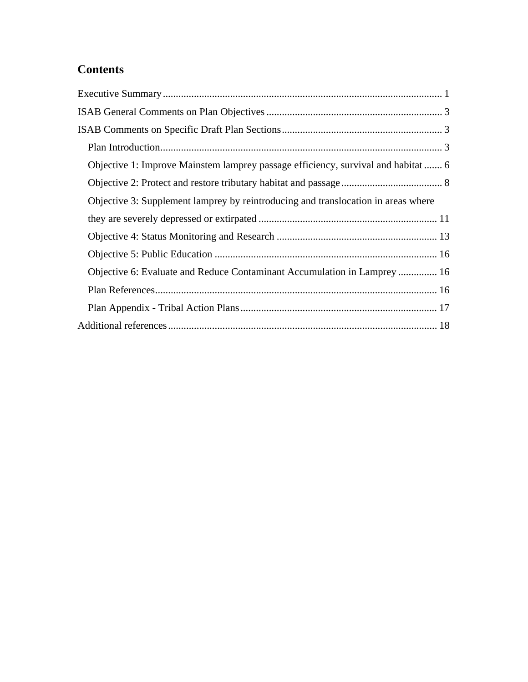# **Contents**

| Objective 1: Improve Mainstem lamprey passage efficiency, survival and habitat  6 |
|-----------------------------------------------------------------------------------|
|                                                                                   |
| Objective 3: Supplement lamprey by reintroducing and translocation in areas where |
|                                                                                   |
|                                                                                   |
|                                                                                   |
| Objective 6: Evaluate and Reduce Contaminant Accumulation in Lamprey  16          |
|                                                                                   |
|                                                                                   |
|                                                                                   |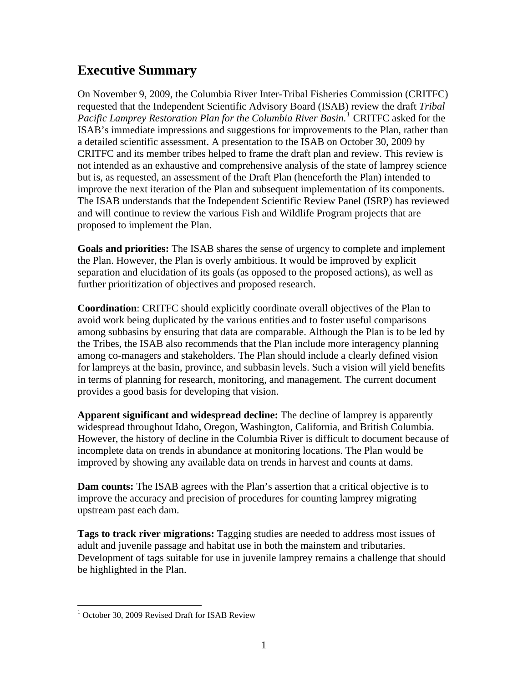# <span id="page-2-0"></span>**Executive Summary**

On November 9, 2009, the Columbia River Inter-Tribal Fisheries Commission (CRITFC) requested that the Independent Scientific Advisory Board (ISAB) review the draft *Tribal Pacific Lamprey Restoration Plan for the Columbia River Basin.[1](#page-2-1)* CRITFC asked for the ISAB's immediate impressions and suggestions for improvements to the Plan, rather than a detailed scientific assessment. A presentation to the ISAB on October 30, 2009 by CRITFC and its member tribes helped to frame the draft plan and review. This review is not intended as an exhaustive and comprehensive analysis of the state of lamprey science but is, as requested, an assessment of the Draft Plan (henceforth the Plan) intended to improve the next iteration of the Plan and subsequent implementation of its components. The ISAB understands that the Independent Scientific Review Panel (ISRP) has reviewed and will continue to review the various Fish and Wildlife Program projects that are proposed to implement the Plan.

**Goals and priorities:** The ISAB shares the sense of urgency to complete and implement the Plan. However, the Plan is overly ambitious. It would be improved by explicit separation and elucidation of its goals (as opposed to the proposed actions), as well as further prioritization of objectives and proposed research.

**Coordination**: CRITFC should explicitly coordinate overall objectives of the Plan to avoid work being duplicated by the various entities and to foster useful comparisons among subbasins by ensuring that data are comparable. Although the Plan is to be led by the Tribes, the ISAB also recommends that the Plan include more interagency planning among co-managers and stakeholders. The Plan should include a clearly defined vision for lampreys at the basin, province, and subbasin levels. Such a vision will yield benefits in terms of planning for research, monitoring, and management. The current document provides a good basis for developing that vision.

**Apparent significant and widespread decline:** The decline of lamprey is apparently widespread throughout Idaho, Oregon, Washington, California, and British Columbia. However, the history of decline in the Columbia River is difficult to document because of incomplete data on trends in abundance at monitoring locations. The Plan would be improved by showing any available data on trends in harvest and counts at dams.

**Dam counts:** The ISAB agrees with the Plan's assertion that a critical objective is to improve the accuracy and precision of procedures for counting lamprey migrating upstream past each dam.

**Tags to track river migrations:** Tagging studies are needed to address most issues of adult and juvenile passage and habitat use in both the mainstem and tributaries. Development of tags suitable for use in juvenile lamprey remains a challenge that should be highlighted in the Plan.

 $\overline{a}$ 

<span id="page-2-1"></span><sup>&</sup>lt;sup>1</sup> October 30, 2009 Revised Draft for ISAB Review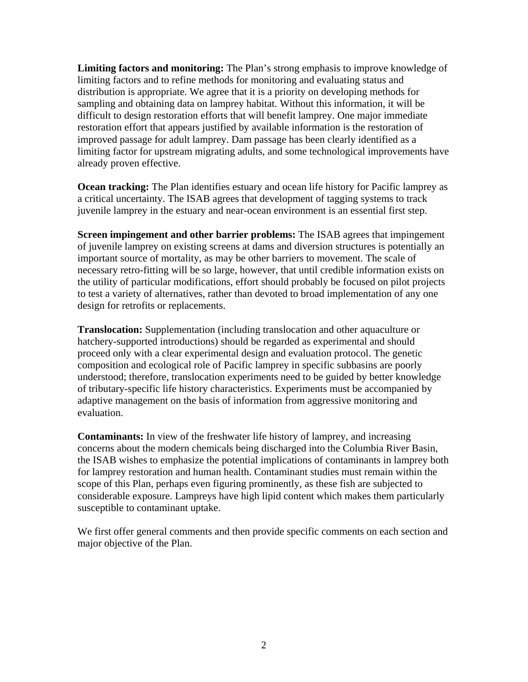**Limiting factors and monitoring:** The Plan's strong emphasis to improve knowledge of limiting factors and to refine methods for monitoring and evaluating status and distribution is appropriate. We agree that it is a priority on developing methods for sampling and obtaining data on lamprey habitat. Without this information, it will be difficult to design restoration efforts that will benefit lamprey. One major immediate restoration effort that appears justified by available information is the restoration of improved passage for adult lamprey. Dam passage has been clearly identified as a limiting factor for upstream migrating adults, and some technological improvements have already proven effective.

**Ocean tracking:** The Plan identifies estuary and ocean life history for Pacific lamprey as a critical uncertainty. The ISAB agrees that development of tagging systems to track juvenile lamprey in the estuary and near-ocean environment is an essential first step.

**Screen impingement and other barrier problems:** The ISAB agrees that impingement of juvenile lamprey on existing screens at dams and diversion structures is potentially an important source of mortality, as may be other barriers to movement. The scale of necessary retro-fitting will be so large, however, that until credible information exists on the utility of particular modifications, effort should probably be focused on pilot projects to test a variety of alternatives, rather than devoted to broad implementation of any one design for retrofits or replacements.

**Translocation:** Supplementation (including translocation and other aquaculture or hatchery-supported introductions) should be regarded as experimental and should proceed only with a clear experimental design and evaluation protocol. The genetic composition and ecological role of Pacific lamprey in specific subbasins are poorly understood; therefore, translocation experiments need to be guided by better knowledge of tributary-specific life history characteristics. Experiments must be accompanied by adaptive management on the basis of information from aggressive monitoring and evaluation.

**Contaminants:** In view of the freshwater life history of lamprey, and increasing concerns about the modern chemicals being discharged into the Columbia River Basin, the ISAB wishes to emphasize the potential implications of contaminants in lamprey both for lamprey restoration and human health. Contaminant studies must remain within the scope of this Plan, perhaps even figuring prominently, as these fish are subjected to considerable exposure. Lampreys have high lipid content which makes them particularly susceptible to contaminant uptake.

We first offer general comments and then provide specific comments on each section and major objective of the Plan.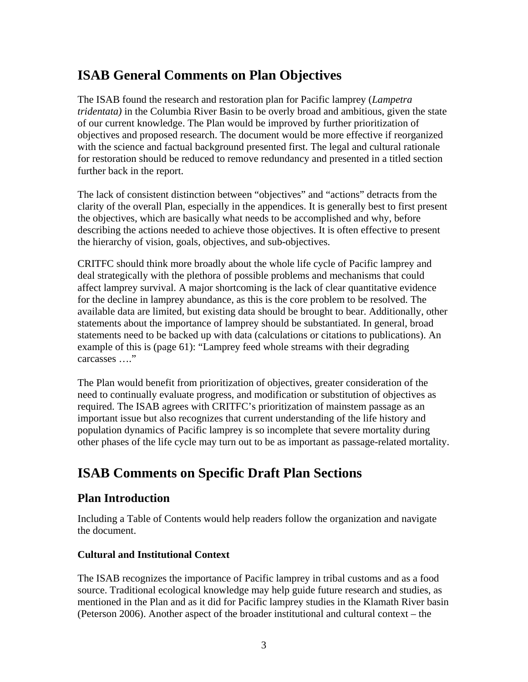# <span id="page-4-0"></span>**ISAB General Comments on Plan Objectives**

The ISAB found the research and restoration plan for Pacific lamprey (*Lampetra tridentata)* in the Columbia River Basin to be overly broad and ambitious, given the state of our current knowledge. The Plan would be improved by further prioritization of objectives and proposed research. The document would be more effective if reorganized with the science and factual background presented first. The legal and cultural rationale for restoration should be reduced to remove redundancy and presented in a titled section further back in the report.

The lack of consistent distinction between "objectives" and "actions" detracts from the clarity of the overall Plan, especially in the appendices. It is generally best to first present the objectives, which are basically what needs to be accomplished and why, before describing the actions needed to achieve those objectives. It is often effective to present the hierarchy of vision, goals, objectives, and sub-objectives.

CRITFC should think more broadly about the whole life cycle of Pacific lamprey and deal strategically with the plethora of possible problems and mechanisms that could affect lamprey survival. A major shortcoming is the lack of clear quantitative evidence for the decline in lamprey abundance, as this is the core problem to be resolved. The available data are limited, but existing data should be brought to bear. Additionally, other statements about the importance of lamprey should be substantiated. In general, broad statements need to be backed up with data (calculations or citations to publications). An example of this is (page 61): "Lamprey feed whole streams with their degrading carcasses …."

The Plan would benefit from prioritization of objectives, greater consideration of the need to continually evaluate progress, and modification or substitution of objectives as required. The ISAB agrees with CRITFC's prioritization of mainstem passage as an important issue but also recognizes that current understanding of the life history and population dynamics of Pacific lamprey is so incomplete that severe mortality during other phases of the life cycle may turn out to be as important as passage-related mortality.

# <span id="page-4-1"></span>**ISAB Comments on Specific Draft Plan Sections**

### <span id="page-4-2"></span>**Plan Introduction**

Including a Table of Contents would help readers follow the organization and navigate the document.

#### **Cultural and Institutional Context**

The ISAB recognizes the importance of Pacific lamprey in tribal customs and as a food source. Traditional ecological knowledge may help guide future research and studies, as mentioned in the Plan and as it did for Pacific lamprey studies in the Klamath River basin (Peterson 2006). Another aspect of the broader institutional and cultural context – the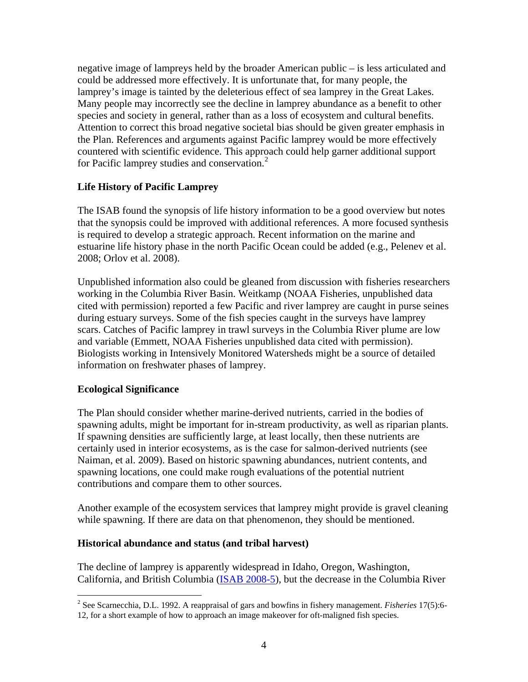negative image of lampreys held by the broader American public – is less articulated and could be addressed more effectively. It is unfortunate that, for many people, the lamprey's image is tainted by the deleterious effect of sea lamprey in the Great Lakes. Many people may incorrectly see the decline in lamprey abundance as a benefit to other species and society in general, rather than as a loss of ecosystem and cultural benefits. Attention to correct this broad negative societal bias should be given greater emphasis in the Plan. References and arguments against Pacific lamprey would be more effectively countered with scientific evidence. This approach could help garner additional support for Pacific lamprey studies and conservation. $<sup>2</sup>$ </sup>

#### **Life History of Pacific Lamprey**

The ISAB found the synopsis of life history information to be a good overview but notes that the synopsis could be improved with additional references. A more focused synthesis is required to develop a strategic approach. Recent information on the marine and estuarine life history phase in the north Pacific Ocean could be added (e.g., Pelenev et al. 2008; Orlov et al. 2008).

Unpublished information also could be gleaned from discussion with fisheries researchers working in the Columbia River Basin. Weitkamp (NOAA Fisheries, unpublished data cited with permission) reported a few Pacific and river lamprey are caught in purse seines during estuary surveys. Some of the fish species caught in the surveys have lamprey scars. Catches of Pacific lamprey in trawl surveys in the Columbia River plume are low and variable (Emmett, NOAA Fisheries unpublished data cited with permission). Biologists working in Intensively Monitored Watersheds might be a source of detailed information on freshwater phases of lamprey.

#### **Ecological Significance**

The Plan should consider whether marine-derived nutrients, carried in the bodies of spawning adults, might be important for in-stream productivity, as well as riparian plants. If spawning densities are sufficiently large, at least locally, then these nutrients are certainly used in interior ecosystems, as is the case for salmon-derived nutrients (see Naiman, et al. 2009). Based on historic spawning abundances, nutrient contents, and spawning locations, one could make rough evaluations of the potential nutrient contributions and compare them to other sources.

Another example of the ecosystem services that lamprey might provide is gravel cleaning while spawning. If there are data on that phenomenon, they should be mentioned.

#### **Historical abundance and status (and tribal harvest)**

The decline of lamprey is apparently widespread in Idaho, Oregon, Washington, California, and British Columbia ([ISAB 2008-5](http://www.nwcouncil.org/library/isab/isab2008-5.htm)), but the decrease in the Columbia River

<span id="page-5-0"></span><sup>1</sup> 2 See Scarnecchia, D.L. 1992. A reappraisal of gars and bowfins in fishery management. *Fisheries* 17(5):6-

<sup>12,</sup> for a short example of how to approach an image makeover for oft-maligned fish species.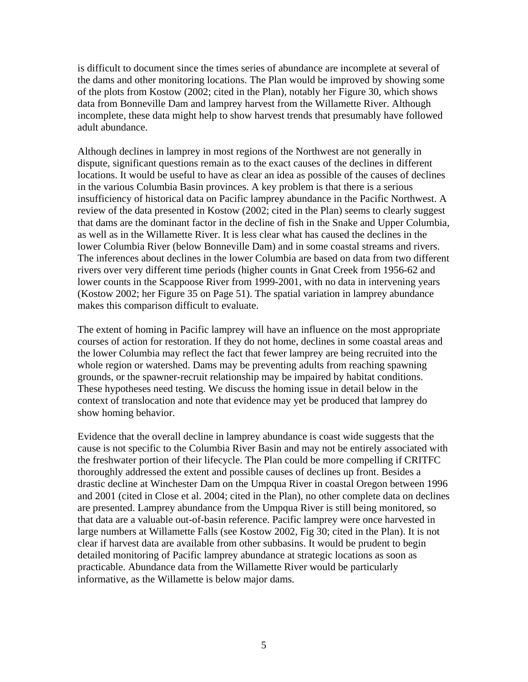is difficult to document since the times series of abundance are incomplete at several of the dams and other monitoring locations. The Plan would be improved by showing some of the plots from Kostow (2002; cited in the Plan), notably her Figure 30, which shows data from Bonneville Dam and lamprey harvest from the Willamette River. Although incomplete, these data might help to show harvest trends that presumably have followed adult abundance.

Although declines in lamprey in most regions of the Northwest are not generally in dispute, significant questions remain as to the exact causes of the declines in different locations. It would be useful to have as clear an idea as possible of the causes of declines in the various Columbia Basin provinces. A key problem is that there is a serious insufficiency of historical data on Pacific lamprey abundance in the Pacific Northwest. A review of the data presented in Kostow (2002; cited in the Plan) seems to clearly suggest that dams are the dominant factor in the decline of fish in the Snake and Upper Columbia, as well as in the Willamette River. It is less clear what has caused the declines in the lower Columbia River (below Bonneville Dam) and in some coastal streams and rivers. The inferences about declines in the lower Columbia are based on data from two different rivers over very different time periods (higher counts in Gnat Creek from 1956-62 and lower counts in the Scappoose River from 1999-2001, with no data in intervening years (Kostow 2002; her Figure 35 on Page 51). The spatial variation in lamprey abundance makes this comparison difficult to evaluate.

The extent of homing in Pacific lamprey will have an influence on the most appropriate courses of action for restoration. If they do not home, declines in some coastal areas and the lower Columbia may reflect the fact that fewer lamprey are being recruited into the whole region or watershed. Dams may be preventing adults from reaching spawning grounds, or the spawner-recruit relationship may be impaired by habitat conditions. These hypotheses need testing. We discuss the homing issue in detail below in the context of translocation and note that evidence may yet be produced that lamprey do show homing behavior.

Evidence that the overall decline in lamprey abundance is coast wide suggests that the cause is not specific to the Columbia River Basin and may not be entirely associated with the freshwater portion of their lifecycle. The Plan could be more compelling if CRITFC thoroughly addressed the extent and possible causes of declines up front. Besides a drastic decline at Winchester Dam on the Umpqua River in coastal Oregon between 1996 and 2001 (cited in Close et al. 2004; cited in the Plan), no other complete data on declines are presented. Lamprey abundance from the Umpqua River is still being monitored, so that data are a valuable out-of-basin reference. Pacific lamprey were once harvested in large numbers at Willamette Falls (see Kostow 2002, Fig 30; cited in the Plan). It is not clear if harvest data are available from other subbasins. It would be prudent to begin detailed monitoring of Pacific lamprey abundance at strategic locations as soon as practicable. Abundance data from the Willamette River would be particularly informative, as the Willamette is below major dams.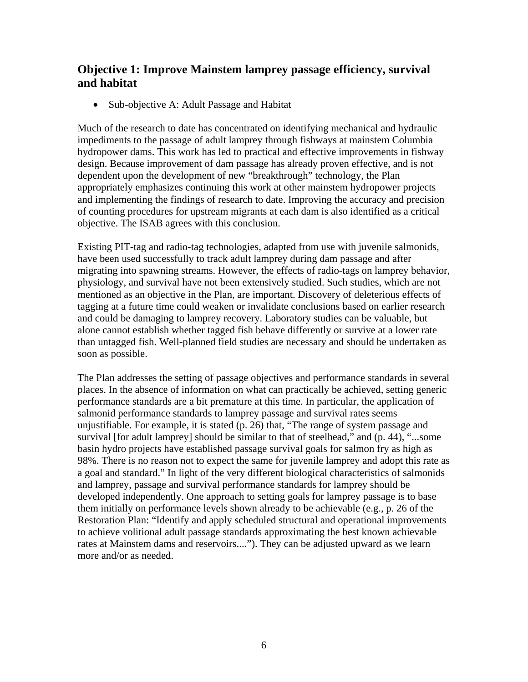## <span id="page-7-0"></span>**Objective 1: Improve Mainstem lamprey passage efficiency, survival and habitat**

• Sub-objective A: Adult Passage and Habitat

Much of the research to date has concentrated on identifying mechanical and hydraulic impediments to the passage of adult lamprey through fishways at mainstem Columbia hydropower dams. This work has led to practical and effective improvements in fishway design. Because improvement of dam passage has already proven effective, and is not dependent upon the development of new "breakthrough" technology, the Plan appropriately emphasizes continuing this work at other mainstem hydropower projects and implementing the findings of research to date. Improving the accuracy and precision of counting procedures for upstream migrants at each dam is also identified as a critical objective. The ISAB agrees with this conclusion.

Existing PIT-tag and radio-tag technologies, adapted from use with juvenile salmonids, have been used successfully to track adult lamprey during dam passage and after migrating into spawning streams. However, the effects of radio-tags on lamprey behavior, physiology, and survival have not been extensively studied. Such studies, which are not mentioned as an objective in the Plan, are important. Discovery of deleterious effects of tagging at a future time could weaken or invalidate conclusions based on earlier research and could be damaging to lamprey recovery. Laboratory studies can be valuable, but alone cannot establish whether tagged fish behave differently or survive at a lower rate than untagged fish. Well-planned field studies are necessary and should be undertaken as soon as possible.

The Plan addresses the setting of passage objectives and performance standards in several places. In the absence of information on what can practically be achieved, setting generic performance standards are a bit premature at this time. In particular, the application of salmonid performance standards to lamprey passage and survival rates seems unjustifiable. For example, it is stated (p. 26) that, "The range of system passage and survival [for adult lamprey] should be similar to that of steelhead," and (p. 44), "...some basin hydro projects have established passage survival goals for salmon fry as high as 98%. There is no reason not to expect the same for juvenile lamprey and adopt this rate as a goal and standard." In light of the very different biological characteristics of salmonids and lamprey, passage and survival performance standards for lamprey should be developed independently. One approach to setting goals for lamprey passage is to base them initially on performance levels shown already to be achievable (e.g., p. 26 of the Restoration Plan: "Identify and apply scheduled structural and operational improvements to achieve volitional adult passage standards approximating the best known achievable rates at Mainstem dams and reservoirs...."). They can be adjusted upward as we learn more and/or as needed.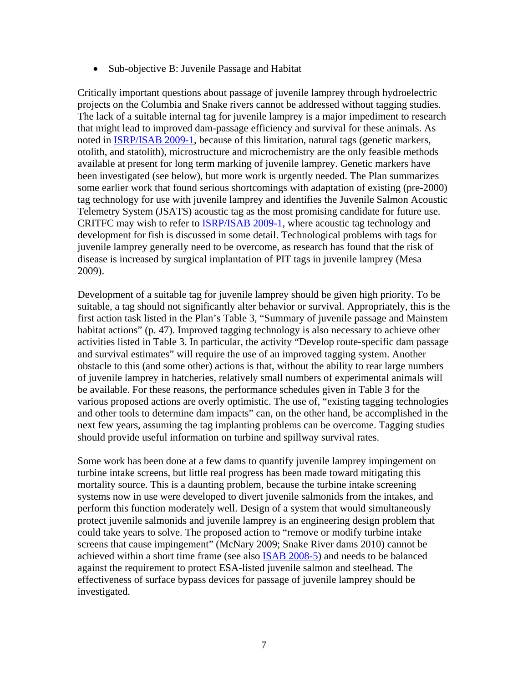Sub-objective B: Juvenile Passage and Habitat

Critically important questions about passage of juvenile lamprey through hydroelectric projects on the Columbia and Snake rivers cannot be addressed without tagging studies. The lack of a suitable internal tag for juvenile lamprey is a major impediment to research that might lead to improved dam-passage efficiency and survival for these animals. As noted in [ISRP/ISAB 2009-1](http://www.nwcouncil.org/library/isab/isabisrp2009-1.htm), because of this limitation, natural tags (genetic markers, otolith, and statolith), microstructure and microchemistry are the only feasible methods available at present for long term marking of juvenile lamprey. Genetic markers have been investigated (see below), but more work is urgently needed. The Plan summarizes some earlier work that found serious shortcomings with adaptation of existing (pre-2000) tag technology for use with juvenile lamprey and identifies the Juvenile Salmon Acoustic Telemetry System (JSATS) acoustic tag as the most promising candidate for future use. CRITFC may wish to refer to [ISRP/ISAB 2009-1,](http://www.nwcouncil.org/library/isab/isabisrp2009-1.htm) where acoustic tag technology and development for fish is discussed in some detail. Technological problems with tags for juvenile lamprey generally need to be overcome, as research has found that the risk of disease is increased by surgical implantation of PIT tags in juvenile lamprey (Mesa 2009).

Development of a suitable tag for juvenile lamprey should be given high priority. To be suitable, a tag should not significantly alter behavior or survival. Appropriately, this is the first action task listed in the Plan's Table 3, "Summary of juvenile passage and Mainstem habitat actions" (p. 47). Improved tagging technology is also necessary to achieve other activities listed in Table 3. In particular, the activity "Develop route-specific dam passage and survival estimates" will require the use of an improved tagging system. Another obstacle to this (and some other) actions is that, without the ability to rear large numbers of juvenile lamprey in hatcheries, relatively small numbers of experimental animals will be available. For these reasons, the performance schedules given in Table 3 for the various proposed actions are overly optimistic. The use of, "existing tagging technologies and other tools to determine dam impacts" can, on the other hand, be accomplished in the next few years, assuming the tag implanting problems can be overcome. Tagging studies should provide useful information on turbine and spillway survival rates.

Some work has been done at a few dams to quantify juvenile lamprey impingement on turbine intake screens, but little real progress has been made toward mitigating this mortality source. This is a daunting problem, because the turbine intake screening systems now in use were developed to divert juvenile salmonids from the intakes, and perform this function moderately well. Design of a system that would simultaneously protect juvenile salmonids and juvenile lamprey is an engineering design problem that could take years to solve. The proposed action to "remove or modify turbine intake screens that cause impingement" (McNary 2009; Snake River dams 2010) cannot be achieved within a short time frame (see also [ISAB 2008-5\)](http://www.nwcouncil.org/library/isab/isab2008-5.htm) and needs to be balanced against the requirement to protect ESA-listed juvenile salmon and steelhead. The effectiveness of surface bypass devices for passage of juvenile lamprey should be investigated.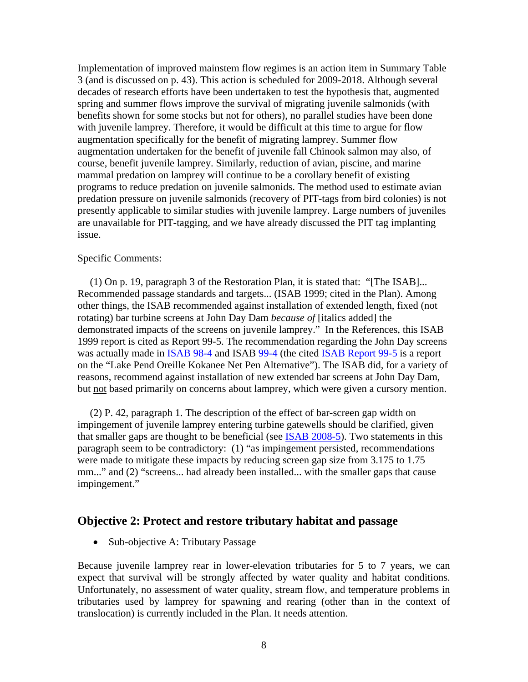Implementation of improved mainstem flow regimes is an action item in Summary Table 3 (and is discussed on p. 43). This action is scheduled for 2009-2018. Although several decades of research efforts have been undertaken to test the hypothesis that, augmented spring and summer flows improve the survival of migrating juvenile salmonids (with benefits shown for some stocks but not for others), no parallel studies have been done with juvenile lamprey. Therefore, it would be difficult at this time to argue for flow augmentation specifically for the benefit of migrating lamprey. Summer flow augmentation undertaken for the benefit of juvenile fall Chinook salmon may also, of course, benefit juvenile lamprey. Similarly, reduction of avian, piscine, and marine mammal predation on lamprey will continue to be a corollary benefit of existing programs to reduce predation on juvenile salmonids. The method used to estimate avian predation pressure on juvenile salmonids (recovery of PIT-tags from bird colonies) is not presently applicable to similar studies with juvenile lamprey. Large numbers of juveniles are unavailable for PIT-tagging, and we have already discussed the PIT tag implanting issue.

#### Specific Comments:

(1) On p. 19, paragraph 3 of the Restoration Plan, it is stated that: "[The ISAB]... Recommended passage standards and targets... (ISAB 1999; cited in the Plan). Among other things, the ISAB recommended against installation of extended length, fixed (not rotating) bar turbine screens at John Day Dam *because of* [italics added] the demonstrated impacts of the screens on juvenile lamprey." In the References, this ISAB 1999 report is cited as Report 99-5. The recommendation regarding the John Day screens was actually made in [ISAB 98-4](http://www.nwcouncil.org/library/isab/isab98-4.htm) and ISAB [99-4](http://www.nwcouncil.org/library/isab/isab99-4.htm) (the cited [ISAB Report 99-5](http://www.nwcouncil.org/library/isab/isab99-5.pdf) is a report on the "Lake Pend Oreille Kokanee Net Pen Alternative"). The ISAB did, for a variety of reasons, recommend against installation of new extended bar screens at John Day Dam, but not based primarily on concerns about lamprey, which were given a cursory mention.

(2) P. 42, paragraph 1. The description of the effect of bar-screen gap width on impingement of juvenile lamprey entering turbine gatewells should be clarified, given that smaller gaps are thought to be beneficial (see [ISAB 2008-5](http://www.nwcouncil.org/library/isab/isab2008-5.htm)). Two statements in this paragraph seem to be contradictory: (1) "as impingement persisted, recommendations were made to mitigate these impacts by reducing screen gap size from 3.175 to 1.75 mm..." and (2) "screens... had already been installed... with the smaller gaps that cause impingement."

#### <span id="page-9-0"></span>**Objective 2: Protect and restore tributary habitat and passage**

• Sub-objective A: Tributary Passage

Because juvenile lamprey rear in lower-elevation tributaries for 5 to 7 years, we can expect that survival will be strongly affected by water quality and habitat conditions. Unfortunately, no assessment of water quality, stream flow, and temperature problems in tributaries used by lamprey for spawning and rearing (other than in the context of translocation) is currently included in the Plan. It needs attention.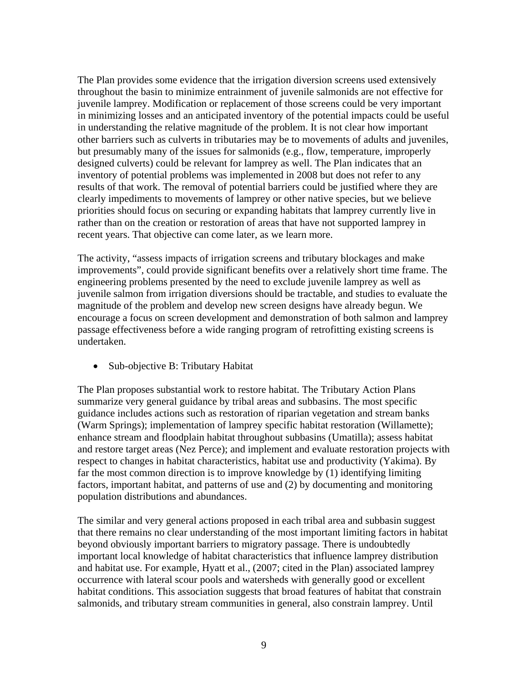The Plan provides some evidence that the irrigation diversion screens used extensively throughout the basin to minimize entrainment of juvenile salmonids are not effective for juvenile lamprey. Modification or replacement of those screens could be very important in minimizing losses and an anticipated inventory of the potential impacts could be useful in understanding the relative magnitude of the problem. It is not clear how important other barriers such as culverts in tributaries may be to movements of adults and juveniles, but presumably many of the issues for salmonids (e.g., flow, temperature, improperly designed culverts) could be relevant for lamprey as well. The Plan indicates that an inventory of potential problems was implemented in 2008 but does not refer to any results of that work. The removal of potential barriers could be justified where they are clearly impediments to movements of lamprey or other native species, but we believe priorities should focus on securing or expanding habitats that lamprey currently live in rather than on the creation or restoration of areas that have not supported lamprey in recent years. That objective can come later, as we learn more.

The activity, "assess impacts of irrigation screens and tributary blockages and make improvements", could provide significant benefits over a relatively short time frame. The engineering problems presented by the need to exclude juvenile lamprey as well as juvenile salmon from irrigation diversions should be tractable, and studies to evaluate the magnitude of the problem and develop new screen designs have already begun. We encourage a focus on screen development and demonstration of both salmon and lamprey passage effectiveness before a wide ranging program of retrofitting existing screens is undertaken.

• Sub-objective B: Tributary Habitat

The Plan proposes substantial work to restore habitat. The Tributary Action Plans summarize very general guidance by tribal areas and subbasins. The most specific guidance includes actions such as restoration of riparian vegetation and stream banks (Warm Springs); implementation of lamprey specific habitat restoration (Willamette); enhance stream and floodplain habitat throughout subbasins (Umatilla); assess habitat and restore target areas (Nez Perce); and implement and evaluate restoration projects with respect to changes in habitat characteristics, habitat use and productivity (Yakima). By far the most common direction is to improve knowledge by (1) identifying limiting factors, important habitat, and patterns of use and (2) by documenting and monitoring population distributions and abundances.

The similar and very general actions proposed in each tribal area and subbasin suggest that there remains no clear understanding of the most important limiting factors in habitat beyond obviously important barriers to migratory passage. There is undoubtedly important local knowledge of habitat characteristics that influence lamprey distribution and habitat use. For example, Hyatt et al., (2007; cited in the Plan) associated lamprey occurrence with lateral scour pools and watersheds with generally good or excellent habitat conditions. This association suggests that broad features of habitat that constrain salmonids, and tributary stream communities in general, also constrain lamprey. Until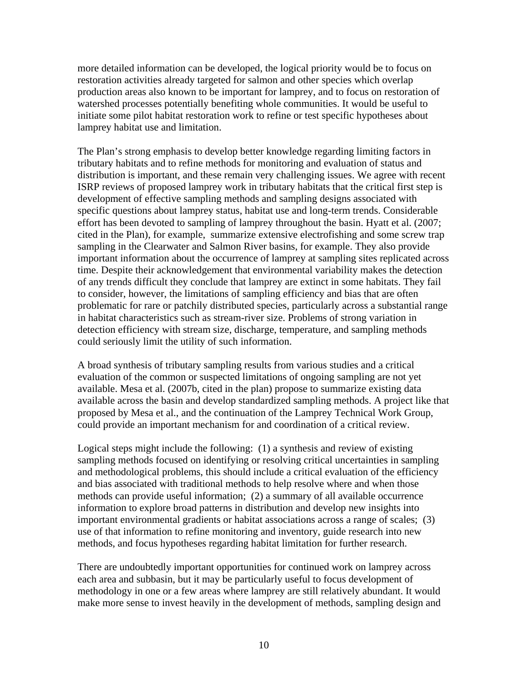more detailed information can be developed, the logical priority would be to focus on restoration activities already targeted for salmon and other species which overlap production areas also known to be important for lamprey, and to focus on restoration of watershed processes potentially benefiting whole communities. It would be useful to initiate some pilot habitat restoration work to refine or test specific hypotheses about lamprey habitat use and limitation.

The Plan's strong emphasis to develop better knowledge regarding limiting factors in tributary habitats and to refine methods for monitoring and evaluation of status and distribution is important, and these remain very challenging issues. We agree with recent ISRP reviews of proposed lamprey work in tributary habitats that the critical first step is development of effective sampling methods and sampling designs associated with specific questions about lamprey status, habitat use and long-term trends. Considerable effort has been devoted to sampling of lamprey throughout the basin. Hyatt et al. (2007; cited in the Plan), for example, summarize extensive electrofishing and some screw trap sampling in the Clearwater and Salmon River basins, for example. They also provide important information about the occurrence of lamprey at sampling sites replicated across time. Despite their acknowledgement that environmental variability makes the detection of any trends difficult they conclude that lamprey are extinct in some habitats. They fail to consider, however, the limitations of sampling efficiency and bias that are often problematic for rare or patchily distributed species, particularly across a substantial range in habitat characteristics such as stream-river size. Problems of strong variation in detection efficiency with stream size, discharge, temperature, and sampling methods could seriously limit the utility of such information.

A broad synthesis of tributary sampling results from various studies and a critical evaluation of the common or suspected limitations of ongoing sampling are not yet available. Mesa et al. (2007b, cited in the plan) propose to summarize existing data available across the basin and develop standardized sampling methods. A project like that proposed by Mesa et al., and the continuation of the Lamprey Technical Work Group, could provide an important mechanism for and coordination of a critical review.

Logical steps might include the following: (1) a synthesis and review of existing sampling methods focused on identifying or resolving critical uncertainties in sampling and methodological problems, this should include a critical evaluation of the efficiency and bias associated with traditional methods to help resolve where and when those methods can provide useful information; (2) a summary of all available occurrence information to explore broad patterns in distribution and develop new insights into important environmental gradients or habitat associations across a range of scales; (3) use of that information to refine monitoring and inventory, guide research into new methods, and focus hypotheses regarding habitat limitation for further research.

There are undoubtedly important opportunities for continued work on lamprey across each area and subbasin, but it may be particularly useful to focus development of methodology in one or a few areas where lamprey are still relatively abundant. It would make more sense to invest heavily in the development of methods, sampling design and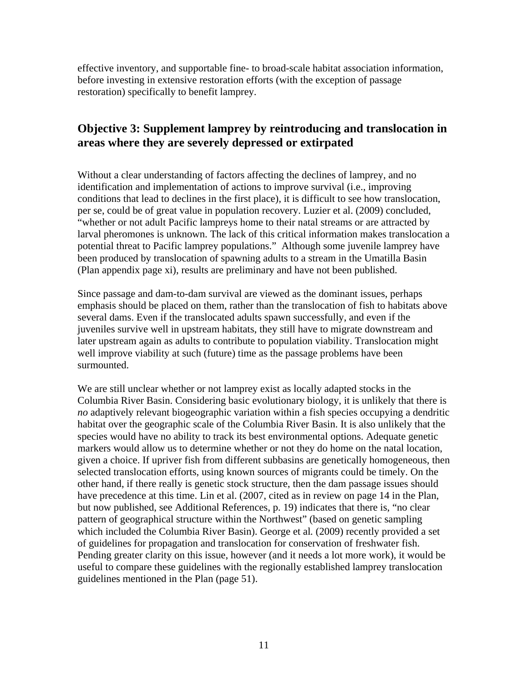effective inventory, and supportable fine- to broad-scale habitat association information, before investing in extensive restoration efforts (with the exception of passage restoration) specifically to benefit lamprey.

## <span id="page-12-0"></span>**Objective 3: Supplement lamprey by reintroducing and translocation in areas where they are severely depressed or extirpated**

Without a clear understanding of factors affecting the declines of lamprey, and no identification and implementation of actions to improve survival (i.e., improving conditions that lead to declines in the first place), it is difficult to see how translocation, per se, could be of great value in population recovery. Luzier et al. (2009) concluded, "whether or not adult Pacific lampreys home to their natal streams or are attracted by larval pheromones is unknown. The lack of this critical information makes translocation a potential threat to Pacific lamprey populations." Although some juvenile lamprey have been produced by translocation of spawning adults to a stream in the Umatilla Basin (Plan appendix page xi), results are preliminary and have not been published.

Since passage and dam-to-dam survival are viewed as the dominant issues, perhaps emphasis should be placed on them, rather than the translocation of fish to habitats above several dams. Even if the translocated adults spawn successfully, and even if the juveniles survive well in upstream habitats, they still have to migrate downstream and later upstream again as adults to contribute to population viability. Translocation might well improve viability at such (future) time as the passage problems have been surmounted.

We are still unclear whether or not lamprey exist as locally adapted stocks in the Columbia River Basin. Considering basic evolutionary biology, it is unlikely that there is *no* adaptively relevant biogeographic variation within a fish species occupying a dendritic habitat over the geographic scale of the Columbia River Basin. It is also unlikely that the species would have no ability to track its best environmental options. Adequate genetic markers would allow us to determine whether or not they do home on the natal location, given a choice. If upriver fish from different subbasins are genetically homogeneous, then selected translocation efforts, using known sources of migrants could be timely. On the other hand, if there really is genetic stock structure, then the dam passage issues should have precedence at this time. Lin et al. (2007, cited as in review on page 14 in the Plan, but now published, see Additional References, p. 19) indicates that there is, "no clear pattern of geographical structure within the Northwest" (based on genetic sampling which included the Columbia River Basin). George et al*.* (2009) recently provided a set of guidelines for propagation and translocation for conservation of freshwater fish. Pending greater clarity on this issue, however (and it needs a lot more work), it would be useful to compare these guidelines with the regionally established lamprey translocation guidelines mentioned in the Plan (page 51).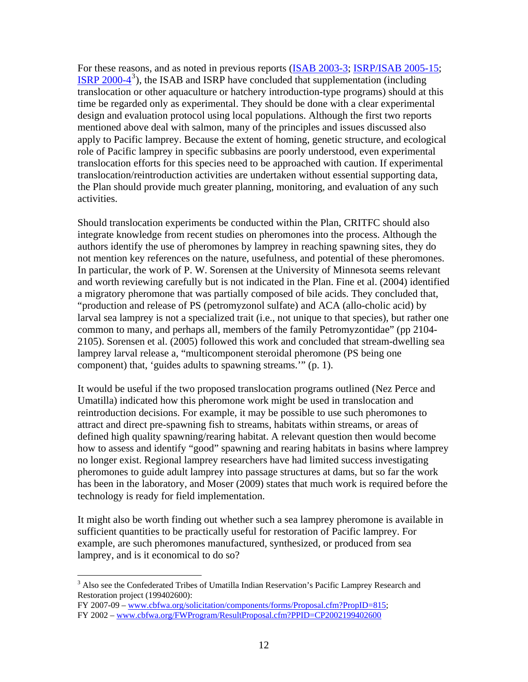For these reasons, and as noted in previous reports [\(ISAB 2003-3;](http://www.nwcouncil.org/library/isab/isab2003-3.htm) [ISRP/ISAB 2005-15;](http://www.nwcouncil.org/library/isrp/isrp2005-15.htm)  $I$  [ISRP 2000-4](http://www.nwcouncil.org/library/isrp/isrp2000-4.pdf)<sup>[3](#page-13-0)</sup>), the ISAB and ISRP have concluded that supplementation (including translocation or other aquaculture or hatchery introduction-type programs) should at this time be regarded only as experimental. They should be done with a clear experimental design and evaluation protocol using local populations. Although the first two reports mentioned above deal with salmon, many of the principles and issues discussed also apply to Pacific lamprey. Because the extent of homing, genetic structure, and ecological role of Pacific lamprey in specific subbasins are poorly understood, even experimental translocation efforts for this species need to be approached with caution. If experimental translocation/reintroduction activities are undertaken without essential supporting data, the Plan should provide much greater planning, monitoring, and evaluation of any such activities.

Should translocation experiments be conducted within the Plan, CRITFC should also integrate knowledge from recent studies on pheromones into the process. Although the authors identify the use of pheromones by lamprey in reaching spawning sites, they do not mention key references on the nature, usefulness, and potential of these pheromones. In particular, the work of P. W. Sorensen at the University of Minnesota seems relevant and worth reviewing carefully but is not indicated in the Plan. Fine et al. (2004) identified a migratory pheromone that was partially composed of bile acids. They concluded that, "production and release of PS (petromyzonol sulfate) and ACA (allo-cholic acid) by larval sea lamprey is not a specialized trait (i.e., not unique to that species), but rather one common to many, and perhaps all, members of the family Petromyzontidae" (pp 2104- 2105). Sorensen et al. (2005) followed this work and concluded that stream-dwelling sea lamprey larval release a, "multicomponent steroidal pheromone (PS being one component) that, 'guides adults to spawning streams.'" (p. 1).

It would be useful if the two proposed translocation programs outlined (Nez Perce and Umatilla) indicated how this pheromone work might be used in translocation and reintroduction decisions. For example, it may be possible to use such pheromones to attract and direct pre-spawning fish to streams, habitats within streams, or areas of defined high quality spawning/rearing habitat. A relevant question then would become how to assess and identify "good" spawning and rearing habitats in basins where lamprey no longer exist. Regional lamprey researchers have had limited success investigating pheromones to guide adult lamprey into passage structures at dams, but so far the work has been in the laboratory, and Moser (2009) states that much work is required before the technology is ready for field implementation.

It might also be worth finding out whether such a sea lamprey pheromone is available in sufficient quantities to be practically useful for restoration of Pacific lamprey. For example, are such pheromones manufactured, synthesized, or produced from sea lamprey, and is it economical to do so?

FY 2007-09 – [www.cbfwa.org/solicitation/components/forms/Proposal.cfm?PropID=815;](http://www.cbfwa.org/solicitation/components/forms/Proposal.cfm?PropID=815) FY 2002 – [www.cbfwa.org/FWProgram/ResultProposal.cfm?PPID=CP2002199402600](http://www.cbfwa.org/FWProgram/ResultProposal.cfm?PPID=CP2002199402600)

 $\overline{a}$ 

<span id="page-13-0"></span><sup>&</sup>lt;sup>3</sup> Also see the Confederated Tribes of Umatilla Indian Reservation's Pacific Lamprey Research and Restoration project (199402600):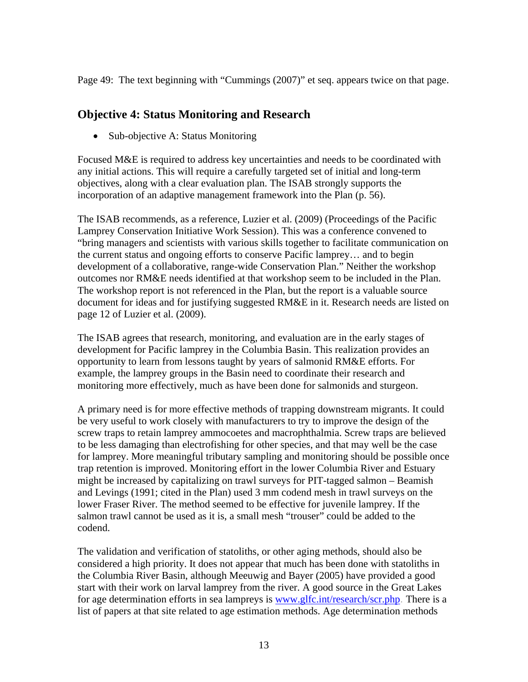Page 49: The text beginning with "Cummings (2007)" et seq. appears twice on that page.

#### <span id="page-14-0"></span>**Objective 4: Status Monitoring and Research**

• Sub-objective A: Status Monitoring

Focused M&E is required to address key uncertainties and needs to be coordinated with any initial actions. This will require a carefully targeted set of initial and long-term objectives, along with a clear evaluation plan. The ISAB strongly supports the incorporation of an adaptive management framework into the Plan (p. 56).

The ISAB recommends, as a reference, Luzier et al. (2009) (Proceedings of the Pacific Lamprey Conservation Initiative Work Session). This was a conference convened to "bring managers and scientists with various skills together to facilitate communication on the current status and ongoing efforts to conserve Pacific lamprey… and to begin development of a collaborative, range-wide Conservation Plan." Neither the workshop outcomes nor RM&E needs identified at that workshop seem to be included in the Plan. The workshop report is not referenced in the Plan, but the report is a valuable source document for ideas and for justifying suggested RM&E in it. Research needs are listed on page 12 of Luzier et al. (2009).

The ISAB agrees that research, monitoring, and evaluation are in the early stages of development for Pacific lamprey in the Columbia Basin. This realization provides an opportunity to learn from lessons taught by years of salmonid RM&E efforts. For example, the lamprey groups in the Basin need to coordinate their research and monitoring more effectively, much as have been done for salmonids and sturgeon.

A primary need is for more effective methods of trapping downstream migrants. It could be very useful to work closely with manufacturers to try to improve the design of the screw traps to retain lamprey ammocoetes and macrophthalmia. Screw traps are believed to be less damaging than electrofishing for other species, and that may well be the case for lamprey. More meaningful tributary sampling and monitoring should be possible once trap retention is improved. Monitoring effort in the lower Columbia River and Estuary might be increased by capitalizing on trawl surveys for PIT-tagged salmon – Beamish and Levings (1991; cited in the Plan) used 3 mm codend mesh in trawl surveys on the lower Fraser River. The method seemed to be effective for juvenile lamprey. If the salmon trawl cannot be used as it is, a small mesh "trouser" could be added to the codend.

The validation and verification of statoliths, or other aging methods, should also be considered a high priority. It does not appear that much has been done with statoliths in the Columbia River Basin, although Meeuwig and Bayer (2005) have provided a good start with their work on larval lamprey from the river. A good source in the Great Lakes for age determination efforts in sea lampreys is [www.glfc.int/research/scr.php](http://www.glfc.int/research/scr.php). There is a list of papers at that site related to age estimation methods. Age determination methods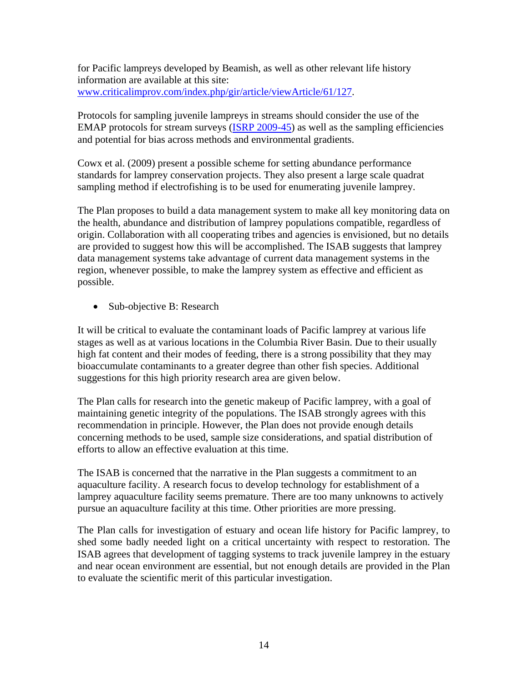for Pacific lampreys developed by Beamish, as well as other relevant life history information are available at this site: [www.criticalimprov.com/index.php/gir/article/viewArticle/61/127](http://www.criticalimprov.com/index.php/gir/article/viewArticle/61/127).

Protocols for sampling juvenile lampreys in streams should consider the use of the EMAP protocols for stream surveys ([ISRP 2009-45\)](http://www.nwcouncil.org/library/isrp/isrp2009-45.htm) as well as the sampling efficiencies and potential for bias across methods and environmental gradients.

Cowx et al. (2009) present a possible scheme for setting abundance performance standards for lamprey conservation projects. They also present a large scale quadrat sampling method if electrofishing is to be used for enumerating juvenile lamprey.

The Plan proposes to build a data management system to make all key monitoring data on the health, abundance and distribution of lamprey populations compatible, regardless of origin. Collaboration with all cooperating tribes and agencies is envisioned, but no details are provided to suggest how this will be accomplished. The ISAB suggests that lamprey data management systems take advantage of current data management systems in the region, whenever possible, to make the lamprey system as effective and efficient as possible.

• Sub-objective B: Research

It will be critical to evaluate the contaminant loads of Pacific lamprey at various life stages as well as at various locations in the Columbia River Basin. Due to their usually high fat content and their modes of feeding, there is a strong possibility that they may bioaccumulate contaminants to a greater degree than other fish species. Additional suggestions for this high priority research area are given below.

The Plan calls for research into the genetic makeup of Pacific lamprey, with a goal of maintaining genetic integrity of the populations. The ISAB strongly agrees with this recommendation in principle. However, the Plan does not provide enough details concerning methods to be used, sample size considerations, and spatial distribution of efforts to allow an effective evaluation at this time.

The ISAB is concerned that the narrative in the Plan suggests a commitment to an aquaculture facility. A research focus to develop technology for establishment of a lamprey aquaculture facility seems premature. There are too many unknowns to actively pursue an aquaculture facility at this time. Other priorities are more pressing.

The Plan calls for investigation of estuary and ocean life history for Pacific lamprey, to shed some badly needed light on a critical uncertainty with respect to restoration. The ISAB agrees that development of tagging systems to track juvenile lamprey in the estuary and near ocean environment are essential, but not enough details are provided in the Plan to evaluate the scientific merit of this particular investigation.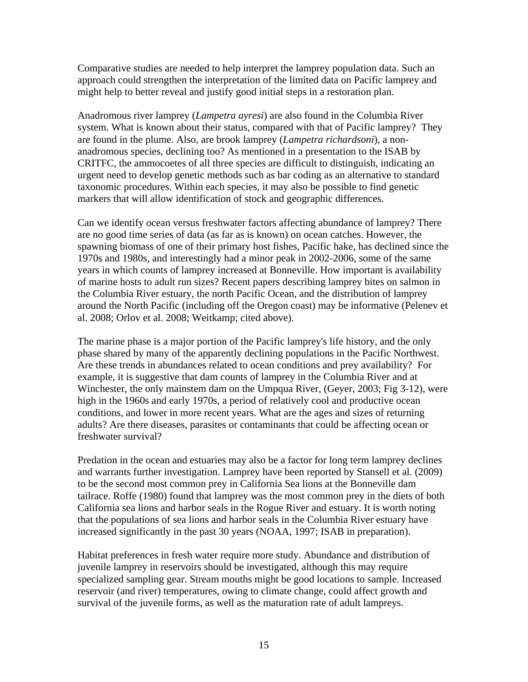Comparative studies are needed to help interpret the lamprey population data. Such an approach could strengthen the interpretation of the limited data on Pacific lamprey and might help to better reveal and justify good initial steps in a restoration plan.

Anadromous river lamprey (*Lampetra ayresi*) are also found in the Columbia River system. What is known about their status, compared with that of Pacific lamprey? They are found in the plume. Also, are brook lamprey (*Lampetra richardsoni*), a nonanadromous species, declining too? As mentioned in a presentation to the ISAB by CRITFC, the ammocoetes of all three species are difficult to distinguish, indicating an urgent need to develop genetic methods such as bar coding as an alternative to standard taxonomic procedures. Within each species, it may also be possible to find genetic markers that will allow identification of stock and geographic differences.

Can we identify ocean versus freshwater factors affecting abundance of lamprey? There are no good time series of data (as far as is known) on ocean catches. However, the spawning biomass of one of their primary host fishes, Pacific hake, has declined since the 1970s and 1980s, and interestingly had a minor peak in 2002-2006, some of the same years in which counts of lamprey increased at Bonneville. How important is availability of marine hosts to adult run sizes? Recent papers describing lamprey bites on salmon in the Columbia River estuary, the north Pacific Ocean, and the distribution of lamprey around the North Pacific (including off the Oregon coast) may be informative (Pelenev et al. 2008; Orlov et al. 2008; Weitkamp; cited above).

The marine phase is a major portion of the Pacific lamprey's life history, and the only phase shared by many of the apparently declining populations in the Pacific Northwest. Are these trends in abundances related to ocean conditions and prey availability? For example, it is suggestive that dam counts of lamprey in the Columbia River and at Winchester, the only mainstem dam on the Umpqua River, (Geyer, 2003; Fig 3-12), were high in the 1960s and early 1970s, a period of relatively cool and productive ocean conditions, and lower in more recent years. What are the ages and sizes of returning adults? Are there diseases, parasites or contaminants that could be affecting ocean or freshwater survival?

Predation in the ocean and estuaries may also be a factor for long term lamprey declines and warrants further investigation. Lamprey have been reported by Stansell et al. (2009) to be the second most common prey in California Sea lions at the Bonneville dam tailrace. Roffe (1980) found that lamprey was the most common prey in the diets of both California sea lions and harbor seals in the Rogue River and estuary. It is worth noting that the populations of sea lions and harbor seals in the Columbia River estuary have increased significantly in the past 30 years (NOAA, 1997; ISAB in preparation).

Habitat preferences in fresh water require more study. Abundance and distribution of juvenile lamprey in reservoirs should be investigated, although this may require specialized sampling gear. Stream mouths might be good locations to sample. Increased reservoir (and river) temperatures, owing to climate change, could affect growth and survival of the juvenile forms, as well as the maturation rate of adult lampreys.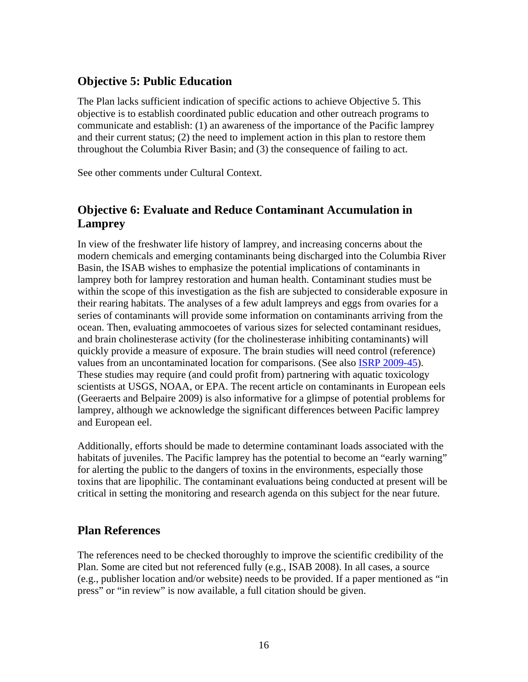## <span id="page-17-0"></span>**Objective 5: Public Education**

The Plan lacks sufficient indication of specific actions to achieve Objective 5. This objective is to establish coordinated public education and other outreach programs to communicate and establish: (1) an awareness of the importance of the Pacific lamprey and their current status; (2) the need to implement action in this plan to restore them throughout the Columbia River Basin; and (3) the consequence of failing to act.

See other comments under Cultural Context.

## <span id="page-17-1"></span>**Objective 6: Evaluate and Reduce Contaminant Accumulation in Lamprey**

In view of the freshwater life history of lamprey, and increasing concerns about the modern chemicals and emerging contaminants being discharged into the Columbia River Basin, the ISAB wishes to emphasize the potential implications of contaminants in lamprey both for lamprey restoration and human health. Contaminant studies must be within the scope of this investigation as the fish are subjected to considerable exposure in their rearing habitats. The analyses of a few adult lampreys and eggs from ovaries for a series of contaminants will provide some information on contaminants arriving from the ocean. Then, evaluating ammocoetes of various sizes for selected contaminant residues, and brain cholinesterase activity (for the cholinesterase inhibiting contaminants) will quickly provide a measure of exposure. The brain studies will need control (reference) values from an uncontaminated location for comparisons. (See also [ISRP 2009-45](http://www.nwcouncil.org/library/isrp/isrp2009-45.htm)). These studies may require (and could profit from) partnering with aquatic toxicology scientists at USGS, NOAA, or EPA. The recent article on contaminants in European eels (Geeraerts and Belpaire 2009) is also informative for a glimpse of potential problems for lamprey, although we acknowledge the significant differences between Pacific lamprey and European eel.

Additionally, efforts should be made to determine contaminant loads associated with the habitats of juveniles. The Pacific lamprey has the potential to become an "early warning" for alerting the public to the dangers of toxins in the environments, especially those toxins that are lipophilic. The contaminant evaluations being conducted at present will be critical in setting the monitoring and research agenda on this subject for the near future.

#### <span id="page-17-2"></span>**Plan References**

The references need to be checked thoroughly to improve the scientific credibility of the Plan. Some are cited but not referenced fully (e.g., ISAB 2008). In all cases, a source (e.g., publisher location and/or website) needs to be provided. If a paper mentioned as "in press" or "in review" is now available, a full citation should be given.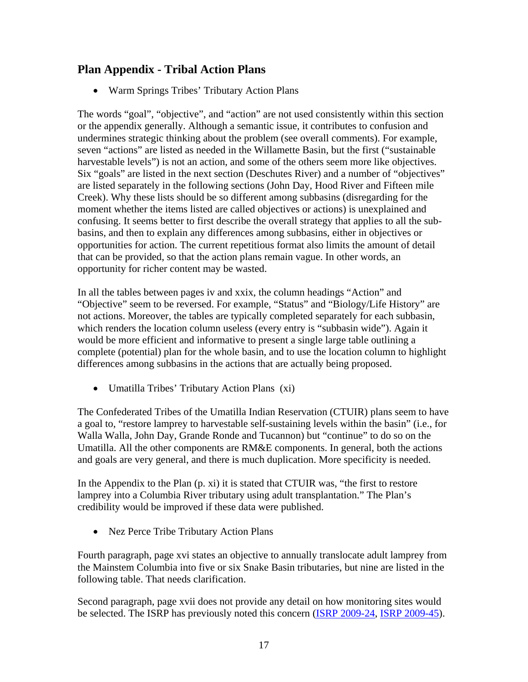### <span id="page-18-0"></span>**Plan Appendix - Tribal Action Plans**

Warm Springs Tribes' Tributary Action Plans

The words "goal", "objective", and "action" are not used consistently within this section or the appendix generally. Although a semantic issue, it contributes to confusion and undermines strategic thinking about the problem (see overall comments). For example, seven "actions" are listed as needed in the Willamette Basin, but the first ("sustainable harvestable levels") is not an action, and some of the others seem more like objectives. Six "goals" are listed in the next section (Deschutes River) and a number of "objectives" are listed separately in the following sections (John Day, Hood River and Fifteen mile Creek). Why these lists should be so different among subbasins (disregarding for the moment whether the items listed are called objectives or actions) is unexplained and confusing. It seems better to first describe the overall strategy that applies to all the subbasins, and then to explain any differences among subbasins, either in objectives or opportunities for action. The current repetitious format also limits the amount of detail that can be provided, so that the action plans remain vague. In other words, an opportunity for richer content may be wasted.

In all the tables between pages iv and xxix, the column headings "Action" and "Objective" seem to be reversed. For example, "Status" and "Biology/Life History" are not actions. Moreover, the tables are typically completed separately for each subbasin, which renders the location column useless (every entry is "subbasin wide"). Again it would be more efficient and informative to present a single large table outlining a complete (potential) plan for the whole basin, and to use the location column to highlight differences among subbasins in the actions that are actually being proposed.

Umatilla Tribes' Tributary Action Plans (xi)

The Confederated Tribes of the Umatilla Indian Reservation (CTUIR) plans seem to have a goal to, "restore lamprey to harvestable self-sustaining levels within the basin" (i.e., for Walla Walla, John Day, Grande Ronde and Tucannon) but "continue" to do so on the Umatilla. All the other components are RM&E components. In general, both the actions and goals are very general, and there is much duplication. More specificity is needed.

In the Appendix to the Plan (p. xi) it is stated that CTUIR was, "the first to restore lamprey into a Columbia River tributary using adult transplantation." The Plan's credibility would be improved if these data were published.

• Nez Perce Tribe Tributary Action Plans

Fourth paragraph, page xvi states an objective to annually translocate adult lamprey from the Mainstem Columbia into five or six Snake Basin tributaries, but nine are listed in the following table. That needs clarification.

Second paragraph, page xvii does not provide any detail on how monitoring sites would be selected. The ISRP has previously noted this concern ([ISRP 2009-24,](http://www.nwcouncil.org/library/isrp/isrp2009-24.htm) [ISRP 2009-45](http://www.nwcouncil.org/library/isrp/isrp2009-45.htm)).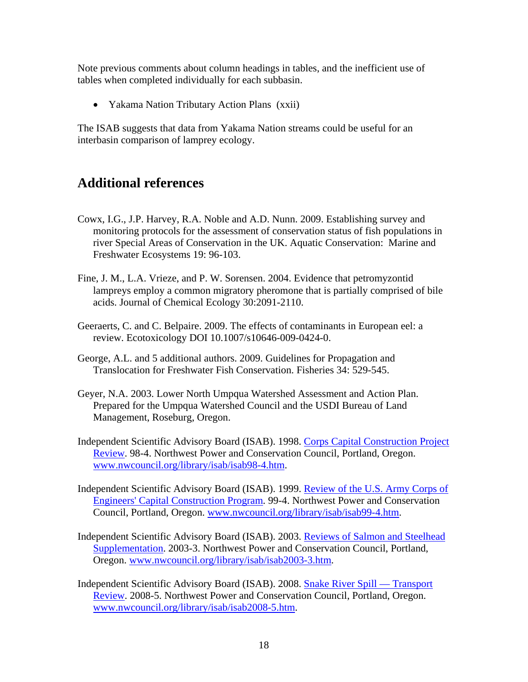Note previous comments about column headings in tables, and the inefficient use of tables when completed individually for each subbasin.

• Yakama Nation Tributary Action Plans (xxii)

The ISAB suggests that data from Yakama Nation streams could be useful for an interbasin comparison of lamprey ecology.

## <span id="page-19-0"></span>**Additional references**

- Cowx, I.G., J.P. Harvey, R.A. Noble and A.D. Nunn. 2009. Establishing survey and monitoring protocols for the assessment of conservation status of fish populations in river Special Areas of Conservation in the UK. Aquatic Conservation: Marine and Freshwater Ecosystems 19: 96-103.
- Fine, J. M., L.A. Vrieze, and P. W. Sorensen. 2004. Evidence that petromyzontid lampreys employ a common migratory pheromone that is partially comprised of bile acids. Journal of Chemical Ecology 30:2091-2110.
- Geeraerts, C. and C. Belpaire. 2009. The effects of contaminants in European eel: a review. Ecotoxicology DOI 10.1007/s10646-009-0424-0.
- George, A.L. and 5 additional authors. 2009. Guidelines for Propagation and Translocation for Freshwater Fish Conservation. Fisheries 34: 529-545.
- Geyer, N.A. 2003. Lower North Umpqua Watershed Assessment and Action Plan. Prepared for the Umpqua Watershed Council and the USDI Bureau of Land Management, Roseburg, Oregon.
- Independent Scientific Advisory Board (ISAB). 1998. Corps Capital Construction Project Review. 98-4. Northwest Power and Conservation Council, Portland, Oregon. [www.nwcouncil.org/library/isab/isab98-4.htm](http://www.nwcouncil.org/library/isab/isab98-4.htm).
- Independent Scientific Advisory Board (ISAB). 1999. Review of the U.S. Army Corps of Engineers' Capital Construction Program. 99-4. Northwest Power and Conservation Council, Portland, Oregon. [www.nwcouncil.org/library/isab/isab99-4.htm.](http://www.nwcouncil.org/library/isab/isab99-4.htm)
- Independent Scientific Advisory Board (ISAB). 2003. Reviews of Salmon and Steelhead Supplementation. 2003-3. Northwest Power and Conservation Council, Portland, Oregon. [www.nwcouncil.org/library/isab/isab2003-3.htm](http://www.nwcouncil.org/library/isab/isab2003-3.htm).
- Independent Scientific Advisory Board (ISAB). 2008. Snake River Spill Transport Review. 2008-5. Northwest Power and Conservation Council, Portland, Oregon. [www.nwcouncil.org/library/isab/isab2008-5.htm](http://www.nwcouncil.org/library/isab/isab2008-5.htm).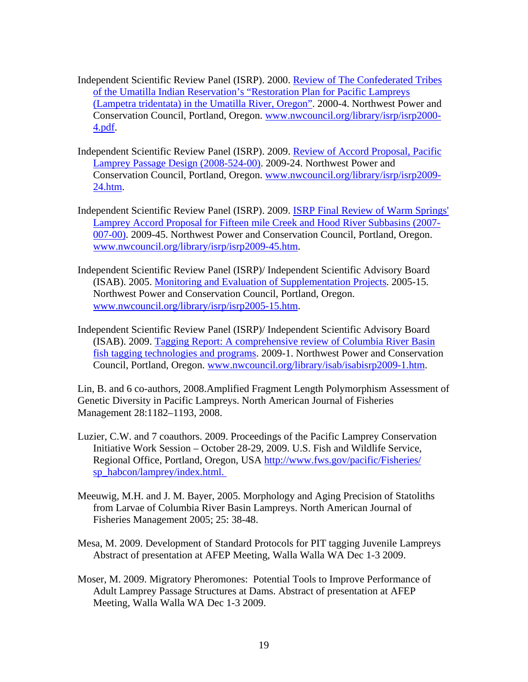- Independent Scientific Review Panel (ISRP). 2000. [Review of The Confederated Tribes](http://www.nwcouncil.org/library/isrp/isrp2000-4.pdf)  [of the Umatilla Indian Reservation's "Restoration Plan for Pacific Lampreys](http://www.nwcouncil.org/library/isrp/isrp2000-4.pdf)  [\(Lampetra tridentata\) in the Umatilla River, Oregon"](http://www.nwcouncil.org/library/isrp/isrp2000-4.pdf). 2000-4. Northwest Power and Conservation Council, Portland, Oregon. [www.nwcouncil.org/library/isrp/isrp2000-](http://www.nwcouncil.org/library/isrp/isrp2000-4.pdf) [4.pdf.](http://www.nwcouncil.org/library/isrp/isrp2000-4.pdf)
- Independent Scientific Review Panel (ISRP). 2009. Review of Accord Proposal, Pacific Lamprey Passage Design (2008-524-00). 2009-24. Northwest Power and Conservation Council, Portland, Oregon. [www.nwcouncil.org/library/isrp/isrp2009-](http://www.nwcouncil.org/library/isrp/isrp2009-24.htm) [24.htm.](http://www.nwcouncil.org/library/isrp/isrp2009-24.htm)
- Independent Scientific Review Panel (ISRP). 2009. ISRP Final Review of Warm Springs' Lamprey Accord Proposal for Fifteen mile Creek and Hood River Subbasins (2007- 007-00). 2009-45. Northwest Power and Conservation Council, Portland, Oregon. [www.nwcouncil.org/library/isrp/isrp2009-45.htm.](http://www.nwcouncil.org/library/isrp/isrp2009-45.htm)
- Independent Scientific Review Panel (ISRP)/ Independent Scientific Advisory Board (ISAB). 2005. Monitoring and Evaluation of Supplementation Projects. 2005-15. Northwest Power and Conservation Council, Portland, Oregon. [www.nwcouncil.org/library/isrp/isrp2005-15.htm.](http://www.nwcouncil.org/library/isrp/isrp2005-15.htm)
- Independent Scientific Review Panel (ISRP)/ Independent Scientific Advisory Board (ISAB). 2009. Tagging Report: A comprehensive review of Columbia River Basin fish tagging technologies and programs. 2009-1. Northwest Power and Conservation Council, Portland, Oregon. [www.nwcouncil.org/library/isab/isabisrp2009-1.htm.](http://www.nwcouncil.org/library/isab/isabisrp2009-1.htm)

Lin, B. and 6 co-authors, 2008.Amplified Fragment Length Polymorphism Assessment of Genetic Diversity in Pacific Lampreys. North American Journal of Fisheries Management 28:1182–1193, 2008.

- Luzier, C.W. and 7 coauthors. 2009. Proceedings of the Pacific Lamprey Conservation Initiative Work Session – October 28-29, 2009. U.S. Fish and Wildlife Service, Regional Office, Portland, Oregon, USA [http://www.fws.gov/pacific/Fisheries/](http://www.fws.gov/pacific/Fisheries/%20sp_habcon/lamprey/index.html.) [sp\\_habcon/lamprey/index.html.](http://www.fws.gov/pacific/Fisheries/%20sp_habcon/lamprey/index.html.)
- Meeuwig, M.H. and J. M. Bayer, 2005. Morphology and Aging Precision of Statoliths from Larvae of Columbia River Basin Lampreys. North American Journal of Fisheries Management 2005; 25: 38-48.
- Mesa, M. 2009. Development of Standard Protocols for PIT tagging Juvenile Lampreys Abstract of presentation at AFEP Meeting, Walla Walla WA Dec 1-3 2009.
- Moser, M. 2009. Migratory Pheromones: Potential Tools to Improve Performance of Adult Lamprey Passage Structures at Dams. Abstract of presentation at AFEP Meeting, Walla Walla WA Dec 1-3 2009.